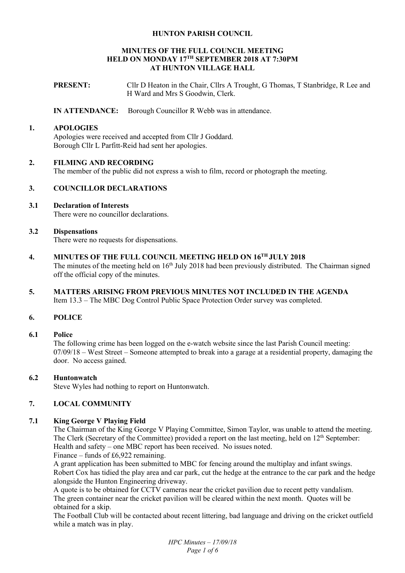#### **HUNTON PARISH COUNCIL**

#### **MINUTES OF THE FULL COUNCIL MEETING HELD ON MONDAY 17TH SEPTEMBER 2018 AT 7:30PM AT HUNTON VILLAGE HALL**

**PRESENT:** Cllr D Heaton in the Chair, Cllrs A Trought, G Thomas, T Stanbridge, R Lee and H Ward and Mrs S Goodwin, Clerk.

**IN ATTENDANCE:** Borough Councillor R Webb was in attendance.

#### **1. APOLOGIES**

Apologies were received and accepted from Cllr J Goddard. Borough Cllr L Parfitt-Reid had sent her apologies.

### **2. FILMING AND RECORDING**

The member of the public did not express a wish to film, record or photograph the meeting.

### **3. COUNCILLOR DECLARATIONS**

### **3.1 Declaration of Interests**

There were no councillor declarations.

### **3.2 Dispensations**

There were no requests for dispensations.

- **4. MINUTES OF THE FULL COUNCIL MEETING HELD ON 16TH JULY 2018**  The minutes of the meeting held on 16<sup>th</sup> July 2018 had been previously distributed. The Chairman signed off the official copy of the minutes.
- **5. MATTERS ARISING FROM PREVIOUS MINUTES NOT INCLUDED IN THE AGENDA**  Item 13.3 – The MBC Dog Control Public Space Protection Order survey was completed.

# **6. POLICE**

#### **6.1 Police**

The following crime has been logged on the e-watch website since the last Parish Council meeting: 07/09/18 – West Street – Someone attempted to break into a garage at a residential property, damaging the door. No access gained.

#### **6.2 Huntonwatch**

Steve Wyles had nothing to report on Huntonwatch.

# **7. LOCAL COMMUNITY**

#### **7.1 King George V Playing Field**

The Chairman of the King George V Playing Committee, Simon Taylor, was unable to attend the meeting. The Clerk (Secretary of the Committee) provided a report on the last meeting, held on 12<sup>th</sup> September: Health and safety – one MBC report has been received. No issues noted.

Finance – funds of £6,922 remaining.

A grant application has been submitted to MBC for fencing around the multiplay and infant swings. Robert Cox has tidied the play area and car park, cut the hedge at the entrance to the car park and the hedge alongside the Hunton Engineering driveway.

A quote is to be obtained for CCTV cameras near the cricket pavilion due to recent petty vandalism. The green container near the cricket pavilion will be cleared within the next month. Quotes will be obtained for a skip.

The Football Club will be contacted about recent littering, bad language and driving on the cricket outfield while a match was in play.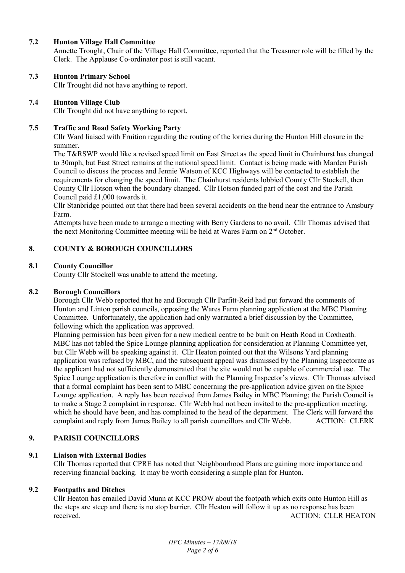### **7.2 Hunton Village Hall Committee**

Annette Trought, Chair of the Village Hall Committee, reported that the Treasurer role will be filled by the Clerk. The Applause Co-ordinator post is still vacant.

### **7.3 Hunton Primary School**

Cllr Trought did not have anything to report.

### **7.4 Hunton Village Club**

Cllr Trought did not have anything to report.

### **7.5 Traffic and Road Safety Working Party**

Cllr Ward liaised with Fruition regarding the routing of the lorries during the Hunton Hill closure in the summer.

The T&RSWP would like a revised speed limit on East Street as the speed limit in Chainhurst has changed to 30mph, but East Street remains at the national speed limit. Contact is being made with Marden Parish Council to discuss the process and Jennie Watson of KCC Highways will be contacted to establish the requirements for changing the speed limit. The Chainhurst residents lobbied County Cllr Stockell, then County Cllr Hotson when the boundary changed. Cllr Hotson funded part of the cost and the Parish Council paid £1,000 towards it.

Cllr Stanbridge pointed out that there had been several accidents on the bend near the entrance to Amsbury Farm.

Attempts have been made to arrange a meeting with Berry Gardens to no avail. Cllr Thomas advised that the next Monitoring Committee meeting will be held at Wares Farm on 2nd October.

# **8. COUNTY & BOROUGH COUNCILLORS**

# **8.1 County Councillor**

County Cllr Stockell was unable to attend the meeting.

#### **8.2 Borough Councillors**

Borough Cllr Webb reported that he and Borough Cllr Parfitt-Reid had put forward the comments of Hunton and Linton parish councils, opposing the Wares Farm planning application at the MBC Planning Committee. Unfortunately, the application had only warranted a brief discussion by the Committee, following which the application was approved.

Planning permission has been given for a new medical centre to be built on Heath Road in Coxheath. MBC has not tabled the Spice Lounge planning application for consideration at Planning Committee yet, but Cllr Webb will be speaking against it. Cllr Heaton pointed out that the Wilsons Yard planning application was refused by MBC, and the subsequent appeal was dismissed by the Planning Inspectorate as the applicant had not sufficiently demonstrated that the site would not be capable of commercial use. The Spice Lounge application is therefore in conflict with the Planning Inspector's views. Cllr Thomas advised that a formal complaint has been sent to MBC concerning the pre-application advice given on the Spice Lounge application. A reply has been received from James Bailey in MBC Planning; the Parish Council is to make a Stage 2 complaint in response. Cllr Webb had not been invited to the pre-application meeting, which he should have been, and has complained to the head of the department. The Clerk will forward the complaint and reply from James Bailey to all parish councillors and Cllr Webb. ACTION: CLERK

# **9. PARISH COUNCILLORS**

#### **9.1 Liaison with External Bodies**

Cllr Thomas reported that CPRE has noted that Neighbourhood Plans are gaining more importance and receiving financial backing. It may be worth considering a simple plan for Hunton.

# **9.2 Footpaths and Ditches**

Cllr Heaton has emailed David Munn at KCC PROW about the footpath which exits onto Hunton Hill as the steps are steep and there is no stop barrier. Cllr Heaton will follow it up as no response has been received. ACTION: CLLR HEATON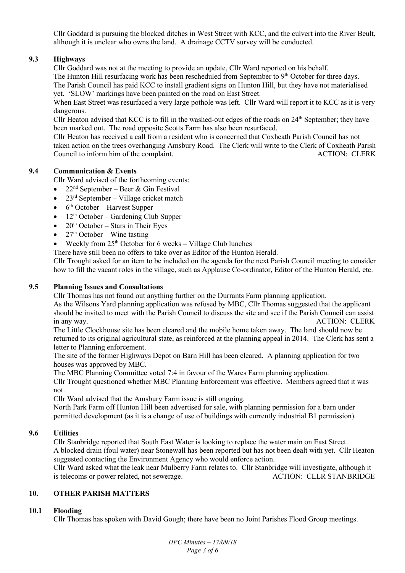Cllr Goddard is pursuing the blocked ditches in West Street with KCC, and the culvert into the River Beult, although it is unclear who owns the land. A drainage CCTV survey will be conducted.

# **9.3 Highways**

Cllr Goddard was not at the meeting to provide an update, Cllr Ward reported on his behalf.

The Hunton Hill resurfacing work has been rescheduled from September to 9<sup>th</sup> October for three days. The Parish Council has paid KCC to install gradient signs on Hunton Hill, but they have not materialised yet. 'SLOW' markings have been painted on the road on East Street.

When East Street was resurfaced a very large pothole was left. Cllr Ward will report it to KCC as it is very dangerous.

Cllr Heaton advised that KCC is to fill in the washed-out edges of the roads on 24<sup>th</sup> September; they have been marked out. The road opposite Scotts Farm has also been resurfaced.

Cllr Heaton has received a call from a resident who is concerned that Coxheath Parish Council has not taken action on the trees overhanging Amsbury Road. The Clerk will write to the Clerk of Coxheath Parish Council to inform him of the complaint. ACTION: CLERK

# **9.4 Communication & Events**

Cllr Ward advised of the forthcoming events:

- 22<sup>nd</sup> September Beer & Gin Festival
- $23<sup>rd</sup> September Village cricket match$
- $\bullet$  6<sup>th</sup> October Harvest Supper
- $\bullet$  12<sup>th</sup> October Gardening Club Supper
- $\bullet$  20<sup>th</sup> October Stars in Their Eyes
- $27<sup>th</sup>$  October Wine tasting
- Weekly from  $25<sup>th</sup>$  October for 6 weeks Village Club lunches

There have still been no offers to take over as Editor of the Hunton Herald.

Cllr Trought asked for an item to be included on the agenda for the next Parish Council meeting to consider how to fill the vacant roles in the village, such as Applause Co-ordinator, Editor of the Hunton Herald, etc.

# **9.5 Planning Issues and Consultations**

Cllr Thomas has not found out anything further on the Durrants Farm planning application.

As the Wilsons Yard planning application was refused by MBC, Cllr Thomas suggested that the applicant should be invited to meet with the Parish Council to discuss the site and see if the Parish Council can assist in any way. ACTION: CLERK

The Little Clockhouse site has been cleared and the mobile home taken away. The land should now be returned to its original agricultural state, as reinforced at the planning appeal in 2014. The Clerk has sent a letter to Planning enforcement.

The site of the former Highways Depot on Barn Hill has been cleared. A planning application for two houses was approved by MBC.

The MBC Planning Committee voted 7:4 in favour of the Wares Farm planning application.

Cllr Trought questioned whether MBC Planning Enforcement was effective. Members agreed that it was not.

Cllr Ward advised that the Amsbury Farm issue is still ongoing.

North Park Farm off Hunton Hill been advertised for sale, with planning permission for a barn under permitted development (as it is a change of use of buildings with currently industrial B1 permission).

# **9.6 Utilities**

Cllr Stanbridge reported that South East Water is looking to replace the water main on East Street. A blocked drain (foul water) near Stonewall has been reported but has not been dealt with yet. Cllr Heaton suggested contacting the Environment Agency who would enforce action.

Cllr Ward asked what the leak near Mulberry Farm relates to. Cllr Stanbridge will investigate, although it is telecoms or power related, not sewerage. ACTION: CLLR STANBRIDGE

# **10. OTHER PARISH MATTERS**

# **10.1 Flooding**

Cllr Thomas has spoken with David Gough; there have been no Joint Parishes Flood Group meetings.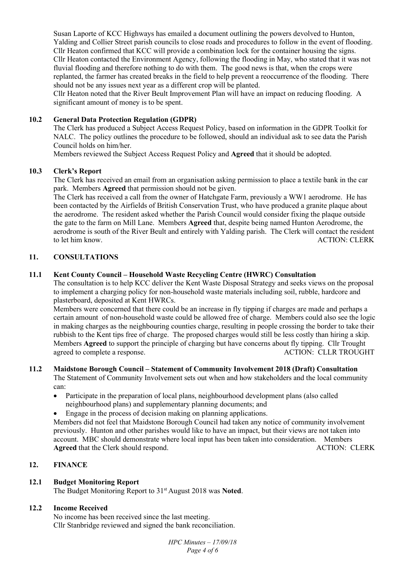Susan Laporte of KCC Highways has emailed a document outlining the powers devolved to Hunton, Yalding and Collier Street parish councils to close roads and procedures to follow in the event of flooding. Cllr Heaton confirmed that KCC will provide a combination lock for the container housing the signs. Cllr Heaton contacted the Environment Agency, following the flooding in May, who stated that it was not fluvial flooding and therefore nothing to do with them. The good news is that, when the crops were replanted, the farmer has created breaks in the field to help prevent a reoccurrence of the flooding. There should not be any issues next year as a different crop will be planted.

Cllr Heaton noted that the River Beult Improvement Plan will have an impact on reducing flooding. A significant amount of money is to be spent.

### **10.2 General Data Protection Regulation (GDPR)**

The Clerk has produced a Subject Access Request Policy, based on information in the GDPR Toolkit for NALC. The policy outlines the procedure to be followed, should an individual ask to see data the Parish Council holds on him/her.

Members reviewed the Subject Access Request Policy and **Agreed** that it should be adopted.

### **10.3 Clerk's Report**

The Clerk has received an email from an organisation asking permission to place a textile bank in the car park. Members **Agreed** that permission should not be given.

The Clerk has received a call from the owner of Hatchgate Farm, previously a WW1 aerodrome. He has been contacted by the Airfields of British Conservation Trust, who have produced a granite plaque about the aerodrome. The resident asked whether the Parish Council would consider fixing the plaque outside the gate to the farm on Mill Lane. Members **Agreed** that, despite being named Hunton Aerodrome, the aerodrome is south of the River Beult and entirely with Yalding parish. The Clerk will contact the resident to let him know. ACTION: CLERK

### **11. CONSULTATIONS**

### **11.1 Kent County Council – Household Waste Recycling Centre (HWRC) Consultation**

The consultation is to help KCC deliver the Kent Waste Disposal Strategy and seeks views on the proposal to implement a charging policy for non-household waste materials including soil, rubble, hardcore and plasterboard, deposited at Kent HWRCs.

Members were concerned that there could be an increase in fly tipping if charges are made and perhaps a certain amount of non-household waste could be allowed free of charge. Members could also see the logic in making charges as the neighbouring counties charge, resulting in people crossing the border to take their rubbish to the Kent tips free of charge. The proposed charges would still be less costly than hiring a skip. Members **Agreed** to support the principle of charging but have concerns about fly tipping. Cllr Trought agreed to complete a response. ACTION: CLLR TROUGHT

# **11.2 Maidstone Borough Council – Statement of Community Involvement 2018 (Draft) Consultation**

The Statement of Community Involvement sets out when and how stakeholders and the local community can:

- Participate in the preparation of local plans, neighbourhood development plans (also called neighbourhood plans) and supplementary planning documents; and
	- Engage in the process of decision making on planning applications.

Members did not feel that Maidstone Borough Council had taken any notice of community involvement previously. Hunton and other parishes would like to have an impact, but their views are not taken into account. MBC should demonstrate where local input has been taken into consideration. Members Agreed that the Clerk should respond. ACTION: CLERK

# **12. FINANCE**

# **12.1 Budget Monitoring Report**

The Budget Monitoring Report to 31st August 2018 was **Noted**.

#### **12.2 Income Received**

No income has been received since the last meeting. Cllr Stanbridge reviewed and signed the bank reconciliation.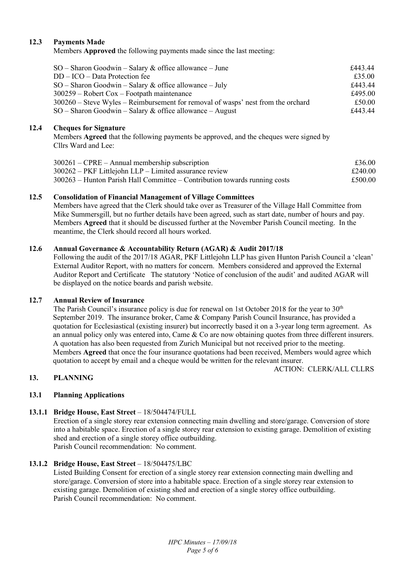### **12.3 Payments Made**

Members **Approved** the following payments made since the last meeting:

| $SO -$ Sharon Goodwin – Salary & office allowance – June                           | £443.44 |
|------------------------------------------------------------------------------------|---------|
| $DD - ICO - Data Protection fee$                                                   | £35.00  |
| $SO -$ Sharon Goodwin – Salary & office allowance – July                           | £443.44 |
| $300259$ – Robert Cox – Footpath maintenance                                       | £495.00 |
| $300260$ – Steve Wyles – Reimbursement for removal of wasps' nest from the orchard | £50.00  |
| $SO -$ Sharon Goodwin – Salary & office allowance – August                         | £443.44 |

#### **12.4 Cheques for Signature**

Members **Agreed** that the following payments be approved, and the cheques were signed by Cllrs Ward and Lee:

| $300261 - \text{CPRE} - \text{Annual membership subscription}$                                                                       | £36.00             |
|--------------------------------------------------------------------------------------------------------------------------------------|--------------------|
| 300262 – PKF Littlejohn LLP – Limited assurance review<br>300263 – Hunton Parish Hall Committee – Contribution towards running costs | £240.00<br>£500.00 |

### **12.5 Consolidation of Financial Management of Village Committees**

Members have agreed that the Clerk should take over as Treasurer of the Village Hall Committee from Mike Summersgill, but no further details have been agreed, such as start date, number of hours and pay. Members **Agreed** that it should be discussed further at the November Parish Council meeting. In the meantime, the Clerk should record all hours worked.

### **12.6 Annual Governance & Accountability Return (AGAR) & Audit 2017/18**

Following the audit of the 2017/18 AGAR, PKF Littlejohn LLP has given Hunton Parish Council a 'clean' External Auditor Report, with no matters for concern. Members considered and approved the External Auditor Report and Certificate The statutory 'Notice of conclusion of the audit' and audited AGAR will be displayed on the notice boards and parish website.

#### **12.7 Annual Review of Insurance**

The Parish Council's insurance policy is due for renewal on 1st October 2018 for the year to 30<sup>th</sup> September 2019. The insurance broker, Came & Company Parish Council Insurance, has provided a quotation for Ecclesiastical (existing insurer) but incorrectly based it on a 3-year long term agreement. As an annual policy only was entered into, Came & Co are now obtaining quotes from three different insurers. A quotation has also been requested from Zurich Municipal but not received prior to the meeting. Members **Agreed** that once the four insurance quotations had been received, Members would agree which quotation to accept by email and a cheque would be written for the relevant insurer.

ACTION: CLERK/ALL CLLRS

# **13. PLANNING**

# **13.1 Planning Applications**

# **13.1.1 Bridge House, East Street** – 18/504474/FULL

Erection of a single storey rear extension connecting main dwelling and store/garage. Conversion of store into a habitable space. Erection of a single storey rear extension to existing garage. Demolition of existing shed and erection of a single storey office outbuilding. Parish Council recommendation: No comment.

#### **13.1.2 Bridge House, East Street – 18/504475/LBC**

Listed Building Consent for erection of a single storey rear extension connecting main dwelling and store/garage. Conversion of store into a habitable space. Erection of a single storey rear extension to existing garage. Demolition of existing shed and erection of a single storey office outbuilding. Parish Council recommendation: No comment.